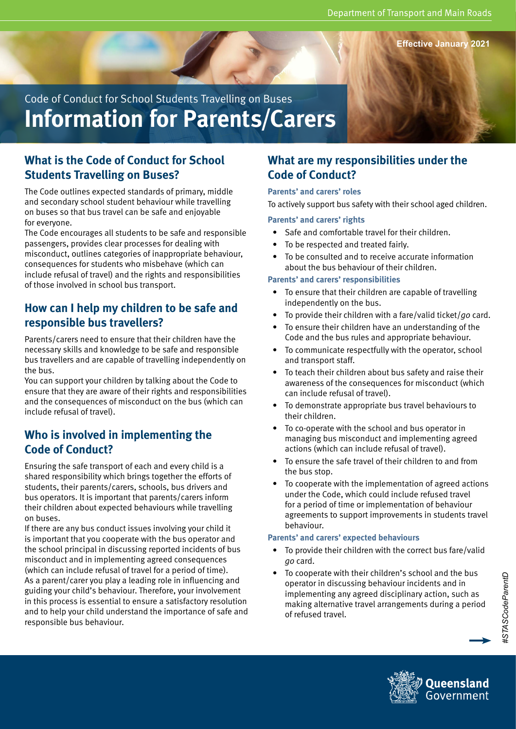**Effective January 2021**

Code of Conduct for School Students Travelling on Buses **Information for Parents/Carers**

# **What is the Code of Conduct for School Students Travelling on Buses?**

The Code outlines expected standards of primary, middle and secondary school student behaviour while travelling on buses so that bus travel can be safe and enjoyable for everyone.

The Code encourages all students to be safe and responsible passengers, provides clear processes for dealing with misconduct, outlines categories of inappropriate behaviour, consequences for students who misbehave (which can include refusal of travel) and the rights and responsibilities of those involved in school bus transport.

# **How can I help my children to be safe and responsible bus travellers?**

Parents/carers need to ensure that their children have the necessary skills and knowledge to be safe and responsible bus travellers and are capable of travelling independently on the bus.

You can support your children by talking about the Code to ensure that they are aware of their rights and responsibilities and the consequences of misconduct on the bus (which can include refusal of travel).

# **Who is involved in implementing the Code of Conduct?**

Ensuring the safe transport of each and every child is a shared responsibility which brings together the efforts of students, their parents/carers, schools, bus drivers and bus operators. It is important that parents/carers inform their children about expected behaviours while travelling on buses.

If there are any bus conduct issues involving your child it is important that you cooperate with the bus operator and the school principal in discussing reported incidents of bus misconduct and in implementing agreed consequences (which can include refusal of travel for a period of time). As a parent/carer you play a leading role in influencing and guiding your child's behaviour. Therefore, your involvement in this process is essential to ensure a satisfactory resolution and to help your child understand the importance of safe and responsible bus behaviour.

## **What are my responsibilities under the Code of Conduct?**

#### **Parents' and carers' roles**

To actively support bus safety with their school aged children.

#### **Parents' and carers' rights**

- Safe and comfortable travel for their children.
- To be respected and treated fairly.
- To be consulted and to receive accurate information about the bus behaviour of their children.

#### **Parents' and carers' responsibilities**

- To ensure that their children are capable of travelling independently on the bus.
- To provide their children with a fare/valid ticket/*go* card.
- To ensure their children have an understanding of the Code and the bus rules and appropriate behaviour.
- To communicate respectfully with the operator, school and transport staff.
- To teach their children about bus safety and raise their awareness of the consequences for misconduct (which can include refusal of travel).
- To demonstrate appropriate bus travel behaviours to their children.
- To co-operate with the school and bus operator in managing bus misconduct and implementing agreed actions (which can include refusal of travel).
- To ensure the safe travel of their children to and from the bus stop.
- To cooperate with the implementation of agreed actions under the Code, which could include refused travel for a period of time or implementation of behaviour agreements to support improvements in students travel behaviour.

#### **Parents' and carers' expected behaviours**

- To provide their children with the correct bus fare/valid *go* card.
- To cooperate with their children's school and the bus operator in discussing behaviour incidents and in implementing any agreed disciplinary action, such as making alternative travel arrangements during a period of refused travel.